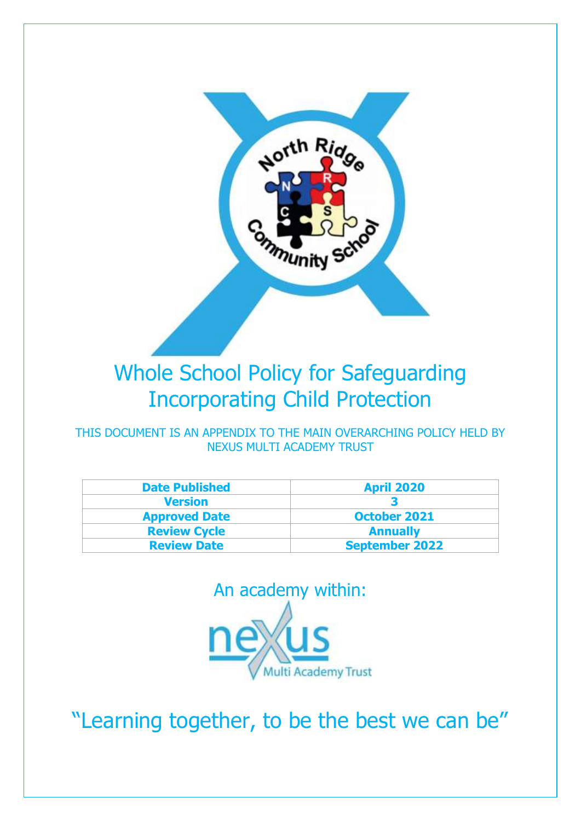

# Whole School Policy for Safeguarding Incorporating Child Protection

### THIS DOCUMENT IS AN APPENDIX TO THE MAIN OVERARCHING POLICY HELD BY NEXUS MULTI ACADEMY TRUST

| <b>Date Published</b> | <b>April 2020</b>     |
|-----------------------|-----------------------|
| <b>Version</b>        |                       |
| <b>Approved Date</b>  | <b>October 2021</b>   |
| <b>Review Cycle</b>   | <b>Annually</b>       |
| <b>Review Date</b>    | <b>September 2022</b> |



"Learning together, to be the best we can be"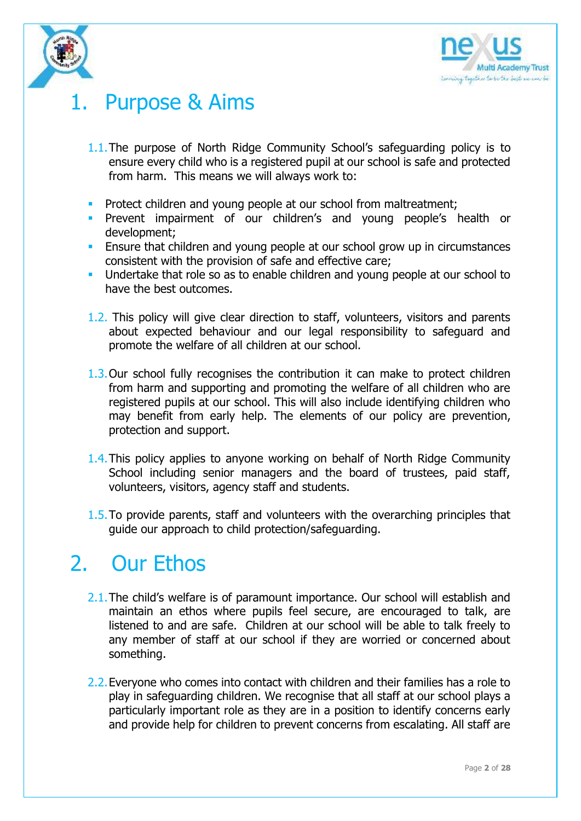

## 1. Purpose & Aims

- 1.1.The purpose of North Ridge Community School's safeguarding policy is to ensure every child who is a registered pupil at our school is safe and protected from harm. This means we will always work to:
- **Protect children and young people at our school from maltreatment;**
- **Prevent impairment of our children's and young people's health or** development;
- **Ensure that children and young people at our school grow up in circumstances** consistent with the provision of safe and effective care;
- Undertake that role so as to enable children and young people at our school to have the best outcomes.
- 1.2. This policy will give clear direction to staff, volunteers, visitors and parents about expected behaviour and our legal responsibility to safeguard and promote the welfare of all children at our school.
- 1.3.Our school fully recognises the contribution it can make to protect children from harm and supporting and promoting the welfare of all children who are registered pupils at our school. This will also include identifying children who may benefit from early help. The elements of our policy are prevention, protection and support.
- 1.4.This policy applies to anyone working on behalf of North Ridge Community School including senior managers and the board of trustees, paid staff, volunteers, visitors, agency staff and students.
- 1.5.To provide parents, staff and volunteers with the overarching principles that guide our approach to child protection/safeguarding.

## 2. Our Ethos

- 2.1. The child's welfare is of paramount importance. Our school will establish and maintain an ethos where pupils feel secure, are encouraged to talk, are listened to and are safe. Children at our school will be able to talk freely to any member of staff at our school if they are worried or concerned about something.
- 2.2. Everyone who comes into contact with children and their families has a role to play in safeguarding children. We recognise that all staff at our school plays a particularly important role as they are in a position to identify concerns early and provide help for children to prevent concerns from escalating. All staff are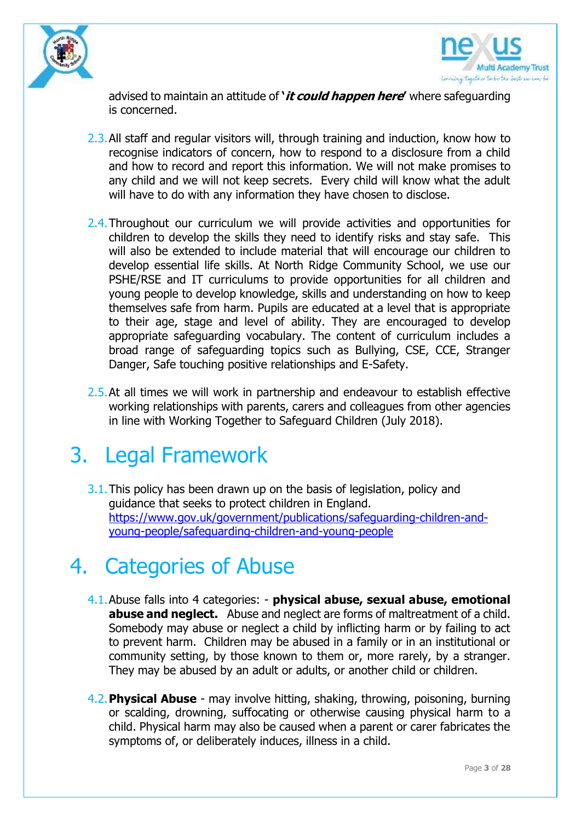



advised to maintain an attitude of **'it could happen here'** where safeguarding is concerned.

- 2.3.All staff and regular visitors will, through training and induction, know how to recognise indicators of concern, how to respond to a disclosure from a child and how to record and report this information. We will not make promises to any child and we will not keep secrets. Every child will know what the adult will have to do with any information they have chosen to disclose.
- 2.4. Throughout our curriculum we will provide activities and opportunities for children to develop the skills they need to identify risks and stay safe. This will also be extended to include material that will encourage our children to develop essential life skills. At North Ridge Community School, we use our PSHE/RSE and IT curriculums to provide opportunities for all children and young people to develop knowledge, skills and understanding on how to keep themselves safe from harm. Pupils are educated at a level that is appropriate to their age, stage and level of ability. They are encouraged to develop appropriate safeguarding vocabulary. The content of curriculum includes a broad range of safeguarding topics such as Bullying, CSE, CCE, Stranger Danger, Safe touching positive relationships and E-Safety.
- 2.5. At all times we will work in partnership and endeavour to establish effective working relationships with parents, carers and colleagues from other agencies in line with Working Together to Safeguard Children (July 2018).

# 3. Legal Framework

3.1. This policy has been drawn up on the basis of legislation, policy and guidance that seeks to protect children in England. [https://www.gov.uk/government/publications/safeguarding-children-and](https://www.gov.uk/government/publications/safeguarding-children-and-young-people/safeguarding-children-and-young-people)[young-people/safeguarding-children-and-young-people](https://www.gov.uk/government/publications/safeguarding-children-and-young-people/safeguarding-children-and-young-people)

# 4. Categories of Abuse

- 4.1.Abuse falls into 4 categories: **physical abuse, sexual abuse, emotional abuse and neglect.** Abuse and neglect are forms of maltreatment of a child. Somebody may abuse or neglect a child by inflicting harm or by failing to act to prevent harm. Children may be abused in a family or in an institutional or community setting, by those known to them or, more rarely, by a stranger. They may be abused by an adult or adults, or another child or children.
- 4.2.**Physical Abuse** may involve hitting, shaking, throwing, poisoning, burning or scalding, drowning, suffocating or otherwise causing physical harm to a child. Physical harm may also be caused when a parent or carer fabricates the symptoms of, or deliberately induces, illness in a child.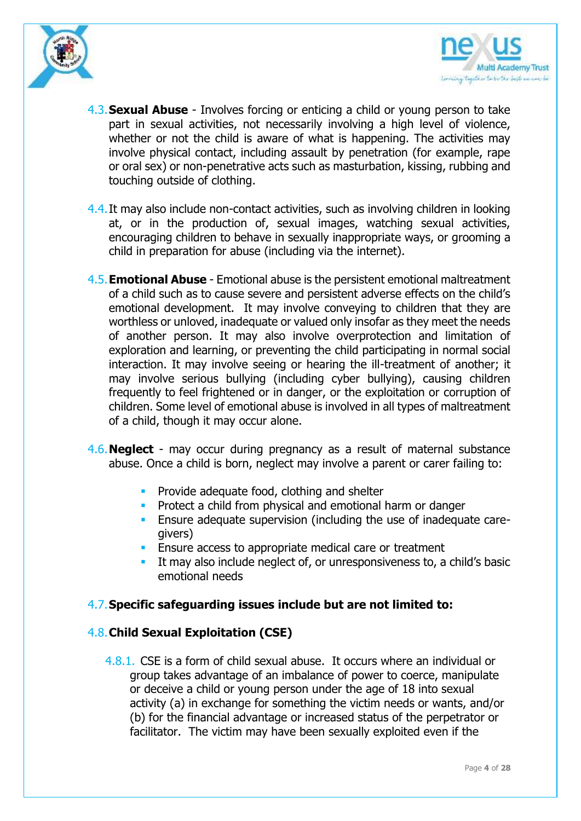



- 4.3.**Sexual Abuse** Involves forcing or enticing a child or young person to take part in sexual activities, not necessarily involving a high level of violence, whether or not the child is aware of what is happening. The activities may involve physical contact, including assault by penetration (for example, rape or oral sex) or non-penetrative acts such as masturbation, kissing, rubbing and touching outside of clothing.
- 4.4.It may also include non-contact activities, such as involving children in looking at, or in the production of, sexual images, watching sexual activities, encouraging children to behave in sexually inappropriate ways, or grooming a child in preparation for abuse (including via the internet).
- 4.5.**Emotional Abuse** Emotional abuse is the persistent emotional maltreatment of a child such as to cause severe and persistent adverse effects on the child's emotional development. It may involve conveying to children that they are worthless or unloved, inadequate or valued only insofar as they meet the needs of another person. It may also involve overprotection and limitation of exploration and learning, or preventing the child participating in normal social interaction. It may involve seeing or hearing the ill-treatment of another; it may involve serious bullying (including cyber bullying), causing children frequently to feel frightened or in danger, or the exploitation or corruption of children. Some level of emotional abuse is involved in all types of maltreatment of a child, though it may occur alone.
- 4.6.**Neglect**  may occur during pregnancy as a result of maternal substance abuse. Once a child is born, neglect may involve a parent or carer failing to:
	- **Provide adequate food, clothing and shelter**
	- **Protect a child from physical and emotional harm or danger**
	- **Ensure adequate supervision (including the use of inadequate care**givers)
	- **Ensure access to appropriate medical care or treatment**
	- It may also include neglect of, or unresponsiveness to, a child's basic emotional needs

#### 4.7.**Specific safeguarding issues include but are not limited to:**

#### 4.8.**Child Sexual Exploitation (CSE)**

4.8.1. CSE is a form of child sexual abuse. It occurs where an individual or group takes advantage of an imbalance of power to coerce, manipulate or deceive a child or young person under the age of 18 into sexual activity (a) in exchange for something the victim needs or wants, and/or (b) for the financial advantage or increased status of the perpetrator or facilitator. The victim may have been sexually exploited even if the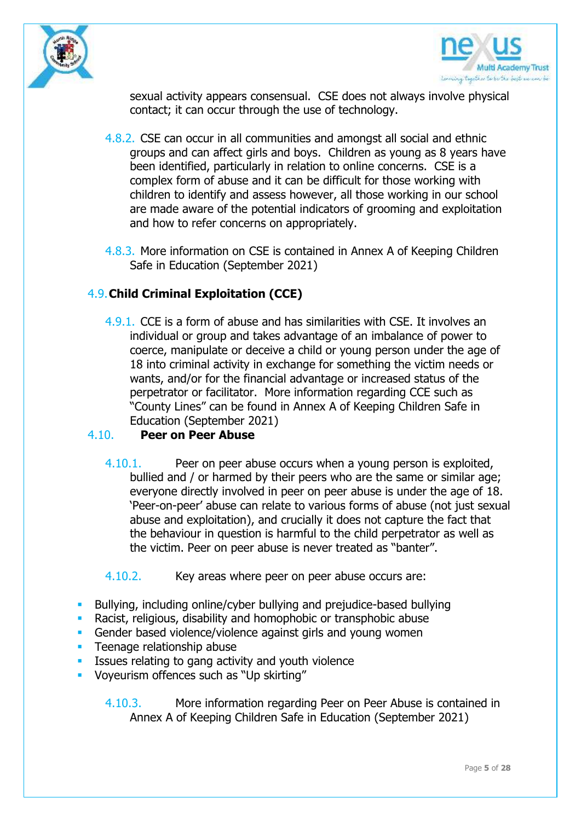



sexual activity appears consensual. CSE does not always involve physical contact; it can occur through the use of technology.

- 4.8.2. CSE can occur in all communities and amongst all social and ethnic groups and can affect girls and boys. Children as young as 8 years have been identified, particularly in relation to online concerns. CSE is a complex form of abuse and it can be difficult for those working with children to identify and assess however, all those working in our school are made aware of the potential indicators of grooming and exploitation and how to refer concerns on appropriately.
- 4.8.3. More information on CSE is contained in Annex A of Keeping Children Safe in Education (September 2021)

### 4.9.**Child Criminal Exploitation (CCE)**

4.9.1. CCE is a form of abuse and has similarities with CSE. It involves an individual or group and takes advantage of an imbalance of power to coerce, manipulate or deceive a child or young person under the age of 18 into criminal activity in exchange for something the victim needs or wants, and/or for the financial advantage or increased status of the perpetrator or facilitator. More information regarding CCE such as "County Lines" can be found in Annex A of Keeping Children Safe in Education (September 2021)

### 4.10. **Peer on Peer Abuse**

4.10.1. Peer on peer abuse occurs when a young person is exploited, bullied and / or harmed by their peers who are the same or similar age; everyone directly involved in peer on peer abuse is under the age of 18. 'Peer-on-peer' abuse can relate to various forms of abuse (not just sexual abuse and exploitation), and crucially it does not capture the fact that the behaviour in question is harmful to the child perpetrator as well as the victim. Peer on peer abuse is never treated as "banter".

#### 4.10.2. Key areas where peer on peer abuse occurs are:

- Bullying, including online/cyber bullying and prejudice-based bullying
- Racist, religious, disability and homophobic or transphobic abuse
- Gender based violence/violence against girls and young women
- Teenage relationship abuse
- Issues relating to gang activity and youth violence
- Voyeurism offences such as "Up skirting"

4.10.3. More information regarding Peer on Peer Abuse is contained in Annex A of Keeping Children Safe in Education (September 2021)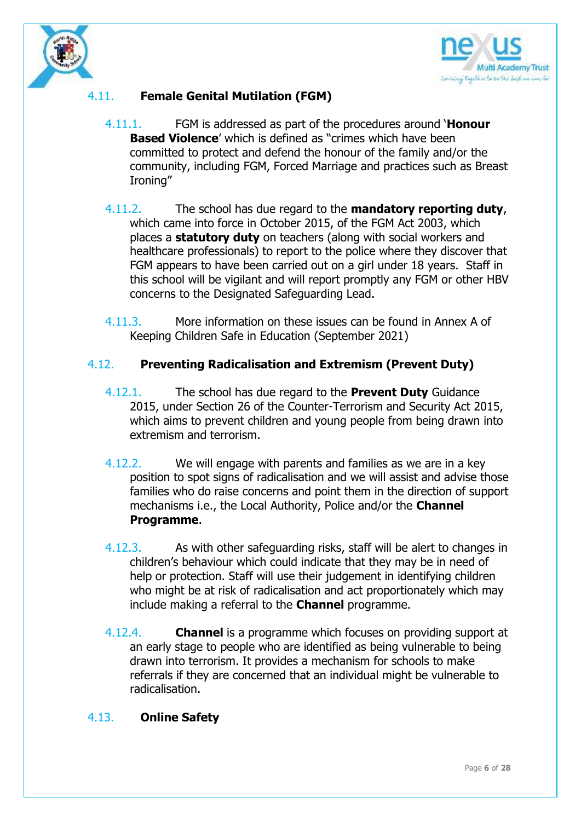



### 4.11. **Female Genital Mutilation (FGM)**

- 4.11.1. FGM is addressed as part of the procedures around '**Honour Based Violence**' which is defined as "crimes which have been committed to protect and defend the honour of the family and/or the community, including FGM, Forced Marriage and practices such as Breast Ironing"
- 4.11.2. The school has due regard to the **mandatory reporting duty**, which came into force in October 2015, of the FGM Act 2003, which places a **statutory duty** on teachers (along with social workers and healthcare professionals) to report to the police where they discover that FGM appears to have been carried out on a girl under 18 years. Staff in this school will be vigilant and will report promptly any FGM or other HBV concerns to the Designated Safeguarding Lead.
- 4.11.3. More information on these issues can be found in Annex A of Keeping Children Safe in Education (September 2021)

### 4.12. **Preventing Radicalisation and Extremism (Prevent Duty)**

- 4.12.1. The school has due regard to the **Prevent Duty** Guidance 2015, under Section 26 of the Counter-Terrorism and Security Act 2015, which aims to prevent children and young people from being drawn into extremism and terrorism.
- 4.12.2. We will engage with parents and families as we are in a key position to spot signs of radicalisation and we will assist and advise those families who do raise concerns and point them in the direction of support mechanisms i.e., the Local Authority, Police and/or the **Channel Programme**.
- 4.12.3. As with other safeguarding risks, staff will be alert to changes in children's behaviour which could indicate that they may be in need of help or protection. Staff will use their judgement in identifying children who might be at risk of radicalisation and act proportionately which may include making a referral to the **Channel** programme.
- 4.12.4. **Channel** is a programme which focuses on providing support at an early stage to people who are identified as being vulnerable to being drawn into terrorism. It provides a mechanism for schools to make referrals if they are concerned that an individual might be vulnerable to radicalisation.

### 4.13. **Online Safety**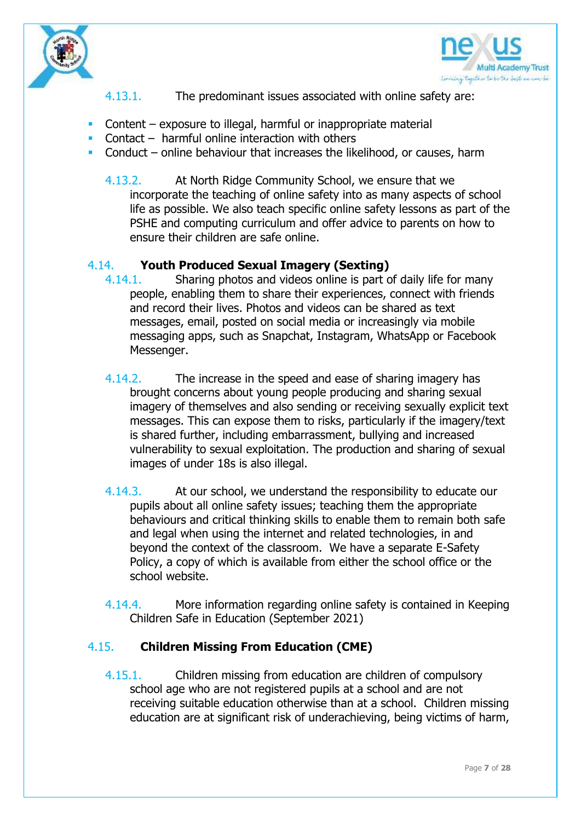



- 4.13.1. The predominant issues associated with online safety are:
- Content exposure to illegal, harmful or inappropriate material
- Contact harmful online interaction with others
- Conduct online behaviour that increases the likelihood, or causes, harm
	- 4.13.2. At North Ridge Community School, we ensure that we incorporate the teaching of online safety into as many aspects of school life as possible. We also teach specific online safety lessons as part of the PSHE and computing curriculum and offer advice to parents on how to ensure their children are safe online.

### 4.14. **Youth Produced Sexual Imagery (Sexting)**

- 4.14.1. Sharing photos and videos online is part of daily life for many people, enabling them to share their experiences, connect with friends and record their lives. Photos and videos can be shared as text messages, email, posted on social media or increasingly via mobile messaging apps, such as Snapchat, Instagram, WhatsApp or Facebook Messenger.
- 4.14.2. The increase in the speed and ease of sharing imagery has brought concerns about young people producing and sharing sexual imagery of themselves and also sending or receiving sexually explicit text messages. This can expose them to risks, particularly if the imagery/text is shared further, including embarrassment, bullying and increased vulnerability to sexual exploitation. The production and sharing of sexual images of under 18s is also illegal.
- 4.14.3. At our school, we understand the responsibility to educate our pupils about all online safety issues; teaching them the appropriate behaviours and critical thinking skills to enable them to remain both safe and legal when using the internet and related technologies, in and beyond the context of the classroom. We have a separate E-Safety Policy, a copy of which is available from either the school office or the school website.
- 4.14.4. More information regarding online safety is contained in Keeping Children Safe in Education (September 2021)

### 4.15. **Children Missing From Education (CME)**

4.15.1. Children missing from education are children of compulsory school age who are not registered pupils at a school and are not receiving suitable education otherwise than at a school. Children missing education are at significant risk of underachieving, being victims of harm,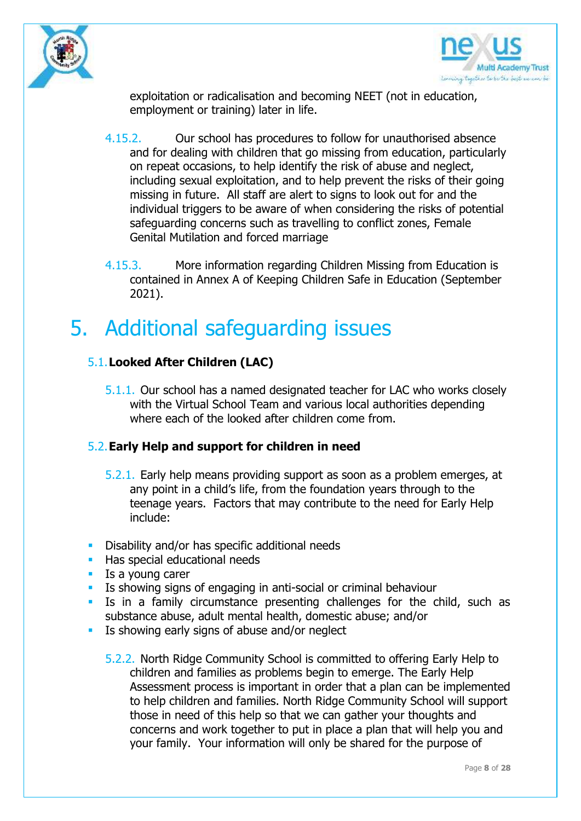



exploitation or radicalisation and becoming NEET (not in education, employment or training) later in life.

- 4.15.2. Our school has procedures to follow for unauthorised absence and for dealing with children that go missing from education, particularly on repeat occasions, to help identify the risk of abuse and neglect, including sexual exploitation, and to help prevent the risks of their going missing in future. All staff are alert to signs to look out for and the individual triggers to be aware of when considering the risks of potential safeguarding concerns such as travelling to conflict zones, Female Genital Mutilation and forced marriage
- 4.15.3. More information regarding Children Missing from Education is contained in Annex A of Keeping Children Safe in Education (September 2021).

# 5. Additional safeguarding issues

### 5.1.**Looked After Children (LAC)**

5.1.1. Our school has a named designated teacher for LAC who works closely with the Virtual School Team and various local authorities depending where each of the looked after children come from.

#### 5.2.**Early Help and support for children in need**

- 5.2.1. Early help means providing support as soon as a problem emerges, at any point in a child's life, from the foundation years through to the teenage years. Factors that may contribute to the need for Early Help include:
- Disability and/or has specific additional needs
- **Has special educational needs**
- $\blacksquare$  Is a young carer
- Is showing signs of engaging in anti-social or criminal behaviour
- Is in a family circumstance presenting challenges for the child, such as substance abuse, adult mental health, domestic abuse; and/or
- **IF** Is showing early signs of abuse and/or neglect
	- 5.2.2. North Ridge Community School is committed to offering Early Help to children and families as problems begin to emerge. The Early Help Assessment process is important in order that a plan can be implemented to help children and families. North Ridge Community School will support those in need of this help so that we can gather your thoughts and concerns and work together to put in place a plan that will help you and your family. Your information will only be shared for the purpose of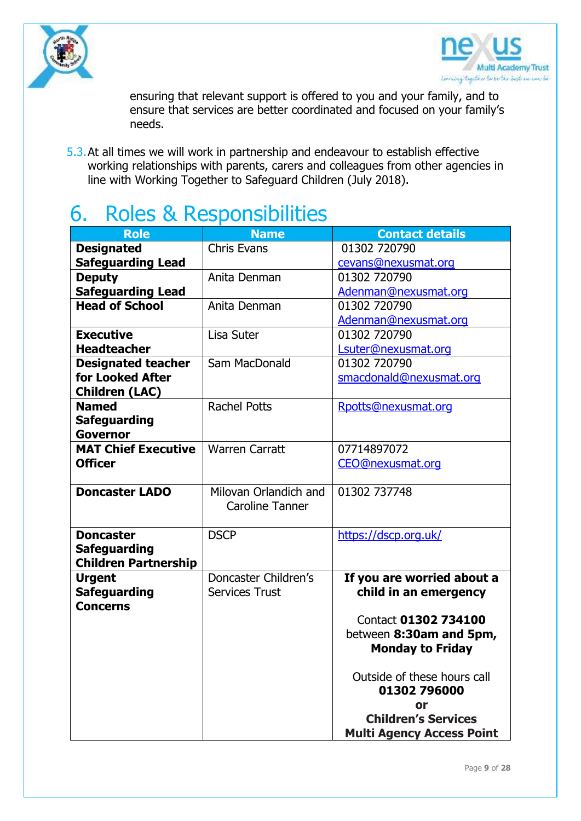



ensuring that relevant support is offered to you and your family, and to ensure that services are better coordinated and focused on your family's needs.

5.3.At all times we will work in partnership and endeavour to establish effective working relationships with parents, carers and colleagues from other agencies in line with Working Together to Safeguard Children (July 2018).

## 6. Roles & Responsibilities

| <b>Role</b>                 | <b>Name</b>            | <b>Contact details</b>           |
|-----------------------------|------------------------|----------------------------------|
| <b>Designated</b>           | <b>Chris Evans</b>     | 01302 720790                     |
| <b>Safeguarding Lead</b>    |                        | cevans@nexusmat.org              |
| <b>Deputy</b>               | Anita Denman           | 01302 720790                     |
| <b>Safeguarding Lead</b>    |                        | Adenman@nexusmat.org             |
| <b>Head of School</b>       | Anita Denman           | 01302 720790                     |
|                             |                        | Adenman@nexusmat.org             |
| <b>Executive</b>            | Lisa Suter             | 01302 720790                     |
| <b>Headteacher</b>          |                        | Lsuter@nexusmat.org              |
| <b>Designated teacher</b>   | Sam MacDonald          | 01302 720790                     |
| for Looked After            |                        | smacdonald@nexusmat.org          |
| <b>Children (LAC)</b>       |                        |                                  |
| <b>Named</b>                | <b>Rachel Potts</b>    | Rpotts@nexusmat.org              |
| <b>Safeguarding</b>         |                        |                                  |
| <b>Governor</b>             |                        |                                  |
| <b>MAT Chief Executive</b>  | <b>Warren Carratt</b>  | 07714897072                      |
| <b>Officer</b>              |                        | CEO@nexusmat.org                 |
|                             |                        |                                  |
| <b>Doncaster LADO</b>       | Milovan Orlandich and  | 01302 737748                     |
|                             | <b>Caroline Tanner</b> |                                  |
|                             |                        |                                  |
| <b>Doncaster</b>            | <b>DSCP</b>            | https://dscp.org.uk/             |
| <b>Safeguarding</b>         |                        |                                  |
| <b>Children Partnership</b> |                        |                                  |
| <b>Urgent</b>               | Doncaster Children's   | If you are worried about a       |
| <b>Safeguarding</b>         | <b>Services Trust</b>  | child in an emergency            |
| <b>Concerns</b>             |                        |                                  |
|                             |                        | Contact 01302 734100             |
|                             |                        | between 8:30am and 5pm,          |
|                             |                        | <b>Monday to Friday</b>          |
|                             |                        | Outside of these hours call      |
|                             |                        | 01302 796000                     |
|                             |                        | or                               |
|                             |                        | <b>Children's Services</b>       |
|                             |                        | <b>Multi Agency Access Point</b> |
|                             |                        |                                  |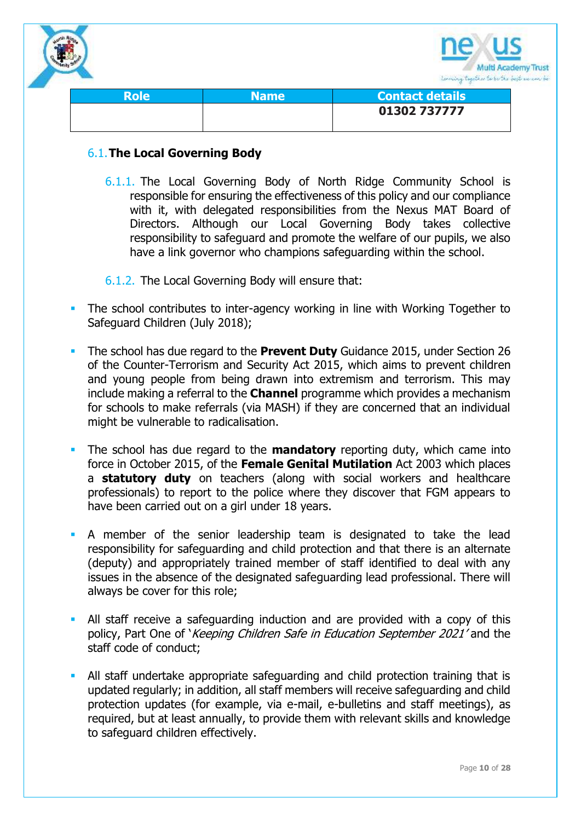

#### 6.1.**The Local Governing Body**

6.1.1. The Local Governing Body of North Ridge Community School is responsible for ensuring the effectiveness of this policy and our compliance with it, with delegated responsibilities from the Nexus MAT Board of Directors. Although our Local Governing Body takes collective responsibility to safeguard and promote the welfare of our pupils, we also have a link governor who champions safeguarding within the school.

6.1.2. The Local Governing Body will ensure that:

- **The school contributes to inter-agency working in line with Working Together to** Safeguard Children (July 2018);
- The school has due regard to the **Prevent Duty** Guidance 2015, under Section 26 of the Counter-Terrorism and Security Act 2015, which aims to prevent children and young people from being drawn into extremism and terrorism. This may include making a referral to the **Channel** programme which provides a mechanism for schools to make referrals (via MASH) if they are concerned that an individual might be vulnerable to radicalisation.
- The school has due regard to the **mandatory** reporting duty, which came into force in October 2015, of the **Female Genital Mutilation** Act 2003 which places a **statutory duty** on teachers (along with social workers and healthcare professionals) to report to the police where they discover that FGM appears to have been carried out on a girl under 18 years.
- A member of the senior leadership team is designated to take the lead responsibility for safeguarding and child protection and that there is an alternate (deputy) and appropriately trained member of staff identified to deal with any issues in the absence of the designated safeguarding lead professional. There will always be cover for this role;
- All staff receive a safeguarding induction and are provided with a copy of this policy, Part One of *`Keeping Children Safe in Education September 2021'* and the staff code of conduct;
- All staff undertake appropriate safeguarding and child protection training that is updated regularly; in addition, all staff members will receive safeguarding and child protection updates (for example, via e-mail, e-bulletins and staff meetings), as required, but at least annually, to provide them with relevant skills and knowledge to safeguard children effectively.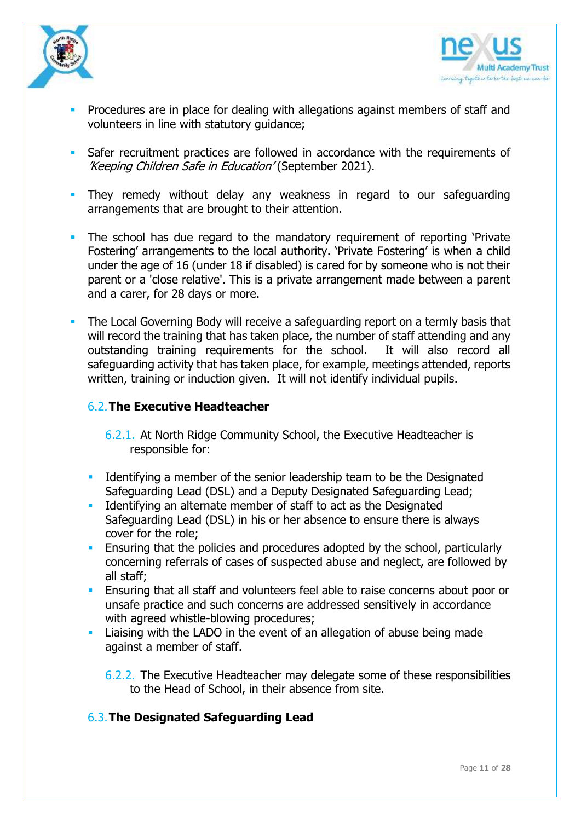



- **Procedures are in place for dealing with allegations against members of staff and** volunteers in line with statutory guidance;
- Safer recruitment practices are followed in accordance with the requirements of 'Keeping Children Safe in Education' (September 2021).
- **They remedy without delay any weakness in regard to our safeguarding** arrangements that are brought to their attention.
- The school has due regard to the mandatory requirement of reporting 'Private Fostering' arrangements to the local authority. 'Private Fostering' is when a child under the age of 16 (under 18 if disabled) is cared for by someone who is not their parent or a 'close relative'. This is a private arrangement made between a parent and a carer, for 28 days or more.
- The Local Governing Body will receive a safeguarding report on a termly basis that will record the training that has taken place, the number of staff attending and any outstanding training requirements for the school. It will also record all safeguarding activity that has taken place, for example, meetings attended, reports written, training or induction given. It will not identify individual pupils.

#### 6.2.**The Executive Headteacher**

6.2.1. At North Ridge Community School, the Executive Headteacher is responsible for:

- **IDENTIFY 11 Identifying a member of the senior leadership team to be the Designated** Safeguarding Lead (DSL) and a Deputy Designated Safeguarding Lead;
- **I** Identifying an alternate member of staff to act as the Designated Safeguarding Lead (DSL) in his or her absence to ensure there is always cover for the role;
- Ensuring that the policies and procedures adopted by the school, particularly concerning referrals of cases of suspected abuse and neglect, are followed by all staff;
- Ensuring that all staff and volunteers feel able to raise concerns about poor or unsafe practice and such concerns are addressed sensitively in accordance with agreed whistle-blowing procedures;
- Liaising with the LADO in the event of an allegation of abuse being made against a member of staff.
	- 6.2.2. The Executive Headteacher may delegate some of these responsibilities to the Head of School, in their absence from site.

### 6.3.**The Designated Safeguarding Lead**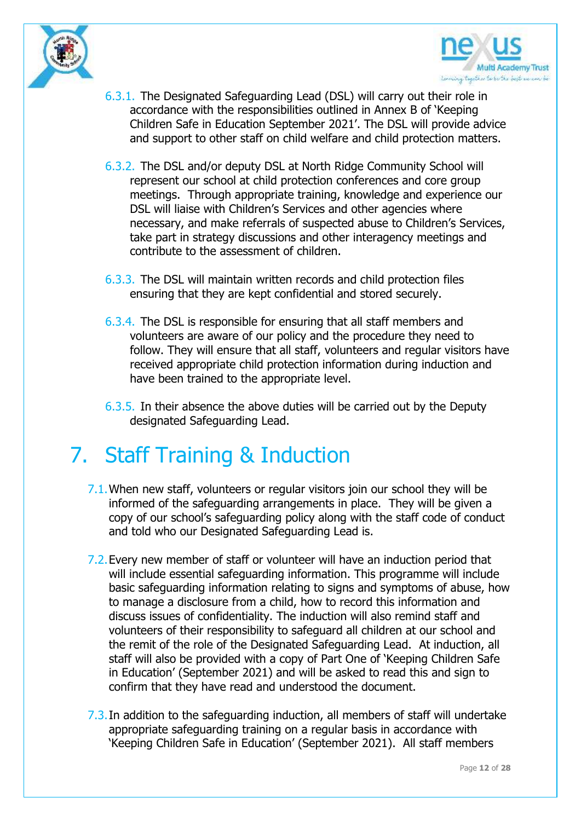



- 6.3.1. The Designated Safeguarding Lead (DSL) will carry out their role in accordance with the responsibilities outlined in Annex B of 'Keeping Children Safe in Education September 2021'. The DSL will provide advice and support to other staff on child welfare and child protection matters.
- 6.3.2. The DSL and/or deputy DSL at North Ridge Community School will represent our school at child protection conferences and core group meetings. Through appropriate training, knowledge and experience our DSL will liaise with Children's Services and other agencies where necessary, and make referrals of suspected abuse to Children's Services, take part in strategy discussions and other interagency meetings and contribute to the assessment of children.
- 6.3.3. The DSL will maintain written records and child protection files ensuring that they are kept confidential and stored securely.
- 6.3.4. The DSL is responsible for ensuring that all staff members and volunteers are aware of our policy and the procedure they need to follow. They will ensure that all staff, volunteers and regular visitors have received appropriate child protection information during induction and have been trained to the appropriate level.
- 6.3.5. In their absence the above duties will be carried out by the Deputy designated Safeguarding Lead.

# 7. Staff Training & Induction

- 7.1.When new staff, volunteers or regular visitors join our school they will be informed of the safeguarding arrangements in place. They will be given a copy of our school's safeguarding policy along with the staff code of conduct and told who our Designated Safeguarding Lead is.
- 7.2.Every new member of staff or volunteer will have an induction period that will include essential safeguarding information. This programme will include basic safeguarding information relating to signs and symptoms of abuse, how to manage a disclosure from a child, how to record this information and discuss issues of confidentiality. The induction will also remind staff and volunteers of their responsibility to safeguard all children at our school and the remit of the role of the Designated Safeguarding Lead. At induction, all staff will also be provided with a copy of Part One of 'Keeping Children Safe in Education' (September 2021) and will be asked to read this and sign to confirm that they have read and understood the document.
- 7.3.In addition to the safeguarding induction, all members of staff will undertake appropriate safeguarding training on a regular basis in accordance with 'Keeping Children Safe in Education' (September 2021). All staff members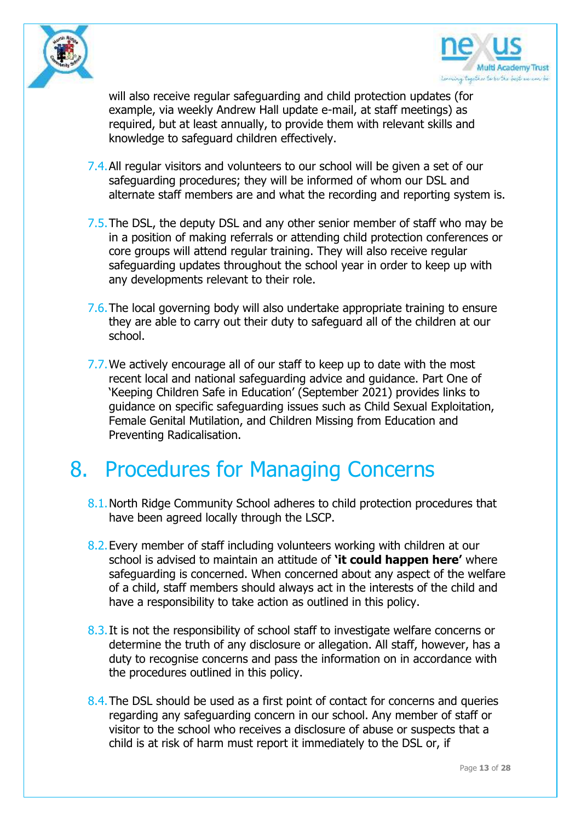



will also receive regular safeguarding and child protection updates (for example, via weekly Andrew Hall update e-mail, at staff meetings) as required, but at least annually, to provide them with relevant skills and knowledge to safeguard children effectively.

- 7.4.All regular visitors and volunteers to our school will be given a set of our safeguarding procedures; they will be informed of whom our DSL and alternate staff members are and what the recording and reporting system is.
- 7.5.The DSL, the deputy DSL and any other senior member of staff who may be in a position of making referrals or attending child protection conferences or core groups will attend regular training. They will also receive regular safeguarding updates throughout the school year in order to keep up with any developments relevant to their role.
- 7.6.The local governing body will also undertake appropriate training to ensure they are able to carry out their duty to safeguard all of the children at our school.
- 7.7.We actively encourage all of our staff to keep up to date with the most recent local and national safeguarding advice and guidance. Part One of 'Keeping Children Safe in Education' (September 2021) provides links to guidance on specific safeguarding issues such as Child Sexual Exploitation, Female Genital Mutilation, and Children Missing from Education and Preventing Radicalisation.

## 8. Procedures for Managing Concerns

- 8.1.North Ridge Community School adheres to child protection procedures that have been agreed locally through the LSCP.
- 8.2.Every member of staff including volunteers working with children at our school is advised to maintain an attitude of **'it could happen here'** where safeguarding is concerned. When concerned about any aspect of the welfare of a child, staff members should always act in the interests of the child and have a responsibility to take action as outlined in this policy.
- 8.3. It is not the responsibility of school staff to investigate welfare concerns or determine the truth of any disclosure or allegation. All staff, however, has a duty to recognise concerns and pass the information on in accordance with the procedures outlined in this policy.
- 8.4. The DSL should be used as a first point of contact for concerns and queries regarding any safeguarding concern in our school. Any member of staff or visitor to the school who receives a disclosure of abuse or suspects that a child is at risk of harm must report it immediately to the DSL or, if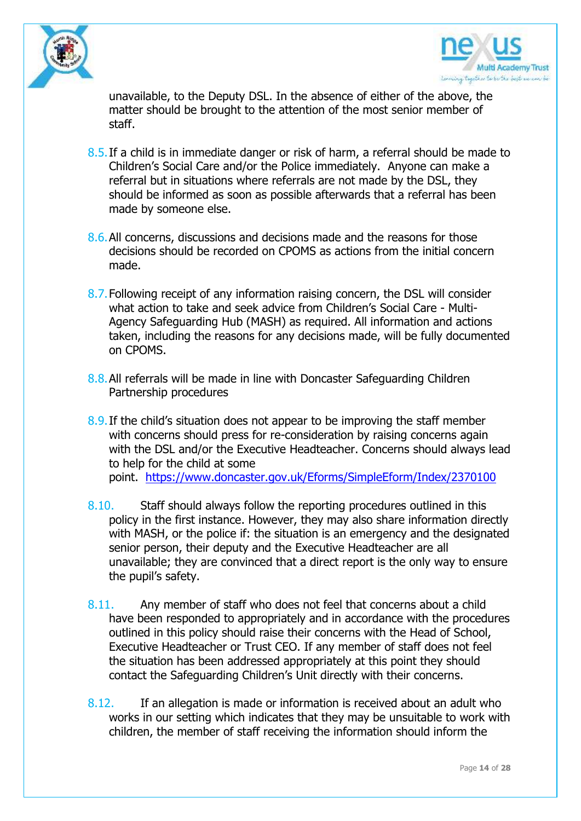



unavailable, to the Deputy DSL. In the absence of either of the above, the matter should be brought to the attention of the most senior member of staff.

- 8.5.If a child is in immediate danger or risk of harm, a referral should be made to Children's Social Care and/or the Police immediately. Anyone can make a referral but in situations where referrals are not made by the DSL, they should be informed as soon as possible afterwards that a referral has been made by someone else.
- 8.6.All concerns, discussions and decisions made and the reasons for those decisions should be recorded on CPOMS as actions from the initial concern made.
- 8.7.Following receipt of any information raising concern, the DSL will consider what action to take and seek advice from Children's Social Care - Multi-Agency Safeguarding Hub (MASH) as required. All information and actions taken, including the reasons for any decisions made, will be fully documented on CPOMS.
- 8.8.All referrals will be made in line with Doncaster Safeguarding Children Partnership procedures
- 8.9.If the child's situation does not appear to be improving the staff member with concerns should press for re-consideration by raising concerns again with the DSL and/or the Executive Headteacher. Concerns should always lead to help for the child at some point. <https://www.doncaster.gov.uk/Eforms/SimpleEform/Index/2370100>
- 8.10. Staff should always follow the reporting procedures outlined in this policy in the first instance. However, they may also share information directly with MASH, or the police if: the situation is an emergency and the designated senior person, their deputy and the Executive Headteacher are all unavailable; they are convinced that a direct report is the only way to ensure the pupil's safety.
- 8.11. Any member of staff who does not feel that concerns about a child have been responded to appropriately and in accordance with the procedures outlined in this policy should raise their concerns with the Head of School, Executive Headteacher or Trust CEO. If any member of staff does not feel the situation has been addressed appropriately at this point they should contact the Safeguarding Children's Unit directly with their concerns.
- 8.12. If an allegation is made or information is received about an adult who works in our setting which indicates that they may be unsuitable to work with children, the member of staff receiving the information should inform the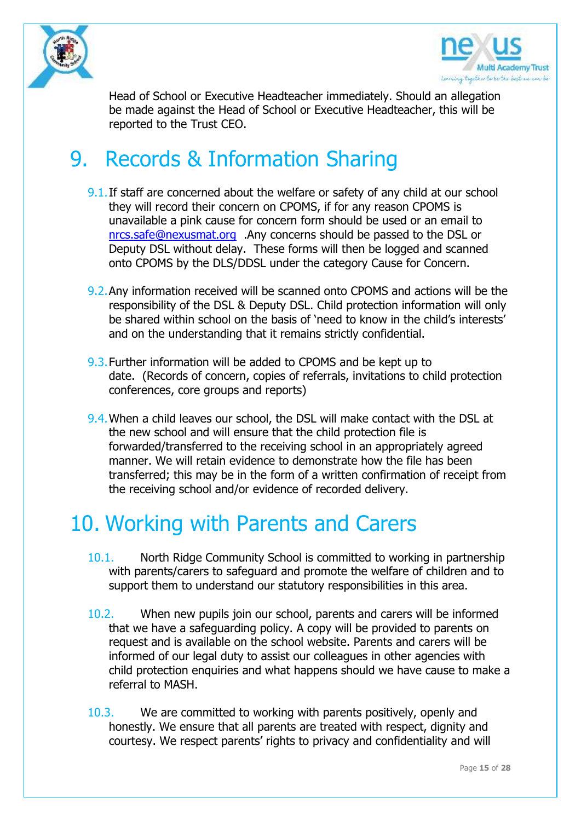



Head of School or Executive Headteacher immediately. Should an allegation be made against the Head of School or Executive Headteacher, this will be reported to the Trust CEO.

## 9. Records & Information Sharing

- 9.1. If staff are concerned about the welfare or safety of any child at our school they will record their concern on CPOMS, if for any reason CPOMS is unavailable a pink cause for concern form should be used or an email to [nrcs.safe@nexusmat.org](mailto:nrcs.safe@nexusmat.org) .Any concerns should be passed to the DSL or Deputy DSL without delay. These forms will then be logged and scanned onto CPOMS by the DLS/DDSL under the category Cause for Concern.
- 9.2. Any information received will be scanned onto CPOMS and actions will be the responsibility of the DSL & Deputy DSL. Child protection information will only be shared within school on the basis of 'need to know in the child's interests' and on the understanding that it remains strictly confidential.
- 9.3.Further information will be added to CPOMS and be kept up to date. (Records of concern, copies of referrals, invitations to child protection conferences, core groups and reports)
- 9.4. When a child leaves our school, the DSL will make contact with the DSL at the new school and will ensure that the child protection file is forwarded/transferred to the receiving school in an appropriately agreed manner. We will retain evidence to demonstrate how the file has been transferred; this may be in the form of a written confirmation of receipt from the receiving school and/or evidence of recorded delivery.

## 10. Working with Parents and Carers

- 10.1. North Ridge Community School is committed to working in partnership with parents/carers to safeguard and promote the welfare of children and to support them to understand our statutory responsibilities in this area.
- 10.2. When new pupils join our school, parents and carers will be informed that we have a safeguarding policy. A copy will be provided to parents on request and is available on the school website. Parents and carers will be informed of our legal duty to assist our colleagues in other agencies with child protection enquiries and what happens should we have cause to make a referral to MASH.
- 10.3. We are committed to working with parents positively, openly and honestly. We ensure that all parents are treated with respect, dignity and courtesy. We respect parents' rights to privacy and confidentiality and will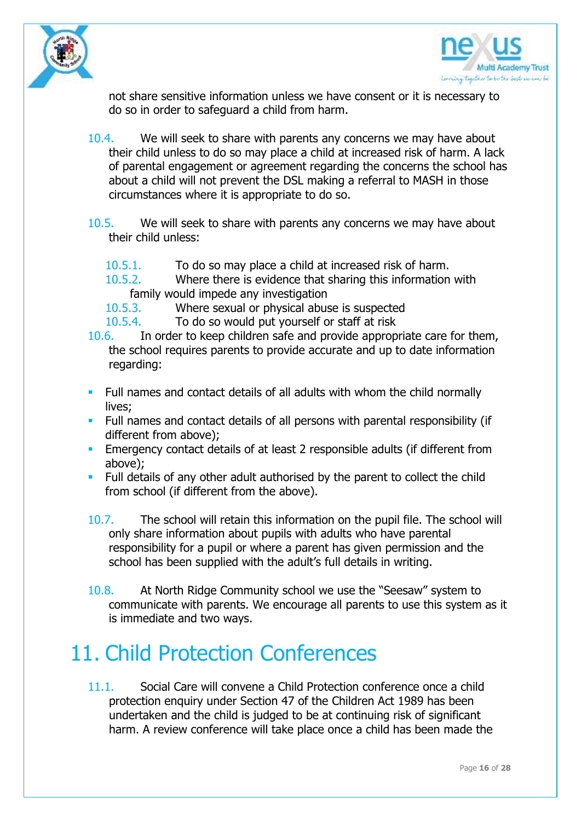



not share sensitive information unless we have consent or it is necessary to do so in order to safeguard a child from harm.

- 10.4. We will seek to share with parents any concerns we may have about their child unless to do so may place a child at increased risk of harm. A lack of parental engagement or agreement regarding the concerns the school has about a child will not prevent the DSL making a referral to MASH in those circumstances where it is appropriate to do so.
- 10.5. We will seek to share with parents any concerns we may have about their child unless:
	- 10.5.1. To do so may place a child at increased risk of harm.
	- 10.5.2. Where there is evidence that sharing this information with family would impede any investigation
	- 10.5.3. Where sexual or physical abuse is suspected
	- 10.5.4. To do so would put yourself or staff at risk
- 10.6. In order to keep children safe and provide appropriate care for them, the school requires parents to provide accurate and up to date information regarding:
- Full names and contact details of all adults with whom the child normally lives;
- Full names and contact details of all persons with parental responsibility (if different from above);
- Emergency contact details of at least 2 responsible adults (if different from above);
- Full details of any other adult authorised by the parent to collect the child from school (if different from the above).
- 10.7. The school will retain this information on the pupil file. The school will only share information about pupils with adults who have parental responsibility for a pupil or where a parent has given permission and the school has been supplied with the adult's full details in writing.
- 10.8. At North Ridge Community school we use the "Seesaw" system to communicate with parents. We encourage all parents to use this system as it is immediate and two ways.

# 11. Child Protection Conferences

11.1. Social Care will convene a Child Protection conference once a child protection enquiry under Section 47 of the Children Act 1989 has been undertaken and the child is judged to be at continuing risk of significant harm. A review conference will take place once a child has been made the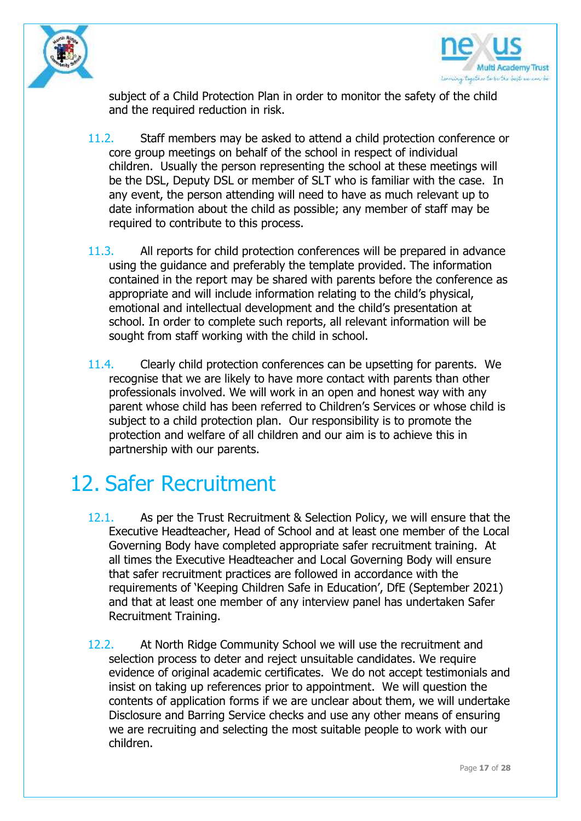



subject of a Child Protection Plan in order to monitor the safety of the child and the required reduction in risk.

- 11.2. Staff members may be asked to attend a child protection conference or core group meetings on behalf of the school in respect of individual children. Usually the person representing the school at these meetings will be the DSL, Deputy DSL or member of SLT who is familiar with the case. In any event, the person attending will need to have as much relevant up to date information about the child as possible; any member of staff may be required to contribute to this process.
- 11.3. All reports for child protection conferences will be prepared in advance using the guidance and preferably the template provided. The information contained in the report may be shared with parents before the conference as appropriate and will include information relating to the child's physical, emotional and intellectual development and the child's presentation at school. In order to complete such reports, all relevant information will be sought from staff working with the child in school.
- 11.4. Clearly child protection conferences can be upsetting for parents. We recognise that we are likely to have more contact with parents than other professionals involved. We will work in an open and honest way with any parent whose child has been referred to Children's Services or whose child is subject to a child protection plan. Our responsibility is to promote the protection and welfare of all children and our aim is to achieve this in partnership with our parents.

## 12. Safer Recruitment

- 12.1. As per the Trust Recruitment & Selection Policy, we will ensure that the Executive Headteacher, Head of School and at least one member of the Local Governing Body have completed appropriate safer recruitment training. At all times the Executive Headteacher and Local Governing Body will ensure that safer recruitment practices are followed in accordance with the requirements of 'Keeping Children Safe in Education', DfE (September 2021) and that at least one member of any interview panel has undertaken Safer Recruitment Training.
- 12.2. At North Ridge Community School we will use the recruitment and selection process to deter and reject unsuitable candidates. We require evidence of original academic certificates. We do not accept testimonials and insist on taking up references prior to appointment. We will question the contents of application forms if we are unclear about them, we will undertake Disclosure and Barring Service checks and use any other means of ensuring we are recruiting and selecting the most suitable people to work with our children.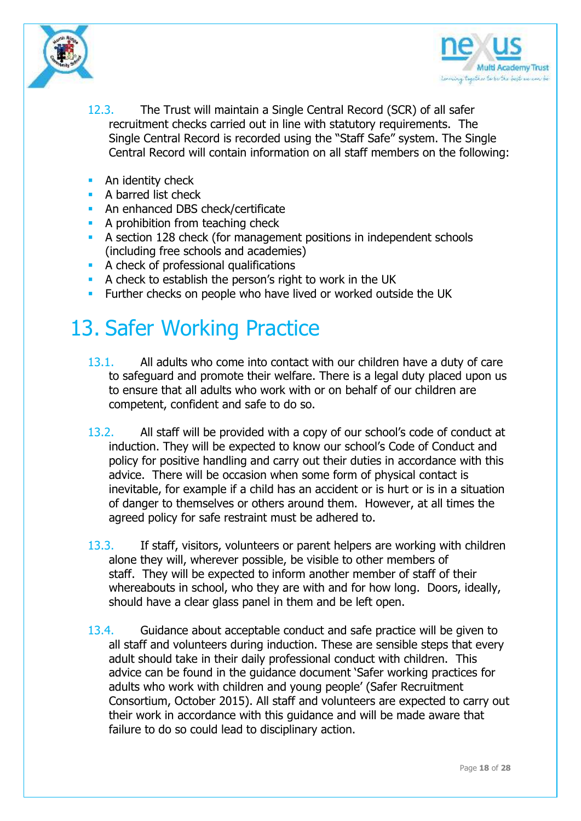



- 12.3. The Trust will maintain a Single Central Record (SCR) of all safer recruitment checks carried out in line with statutory requirements. The Single Central Record is recorded using the "Staff Safe" system. The Single Central Record will contain information on all staff members on the following:
- **An identity check**
- $\blacksquare$  A barred list check
- An enhanced DBS check/certificate
- **A** prohibition from teaching check
- A section 128 check (for management positions in independent schools (including free schools and academies)
- A check of professional qualifications
- A check to establish the person's right to work in the UK
- **Further checks on people who have lived or worked outside the UK**

# 13. Safer Working Practice

- 13.1. All adults who come into contact with our children have a duty of care to safeguard and promote their welfare. There is a legal duty placed upon us to ensure that all adults who work with or on behalf of our children are competent, confident and safe to do so.
- 13.2. All staff will be provided with a copy of our school's code of conduct at induction. They will be expected to know our school's Code of Conduct and policy for positive handling and carry out their duties in accordance with this advice. There will be occasion when some form of physical contact is inevitable, for example if a child has an accident or is hurt or is in a situation of danger to themselves or others around them. However, at all times the agreed policy for safe restraint must be adhered to.
- 13.3. If staff, visitors, volunteers or parent helpers are working with children alone they will, wherever possible, be visible to other members of staff. They will be expected to inform another member of staff of their whereabouts in school, who they are with and for how long. Doors, ideally, should have a clear glass panel in them and be left open.
- 13.4. Guidance about acceptable conduct and safe practice will be given to all staff and volunteers during induction. These are sensible steps that every adult should take in their daily professional conduct with children. This advice can be found in the guidance document 'Safer working practices for adults who work with children and young people' (Safer Recruitment Consortium, October 2015). All staff and volunteers are expected to carry out their work in accordance with this guidance and will be made aware that failure to do so could lead to disciplinary action.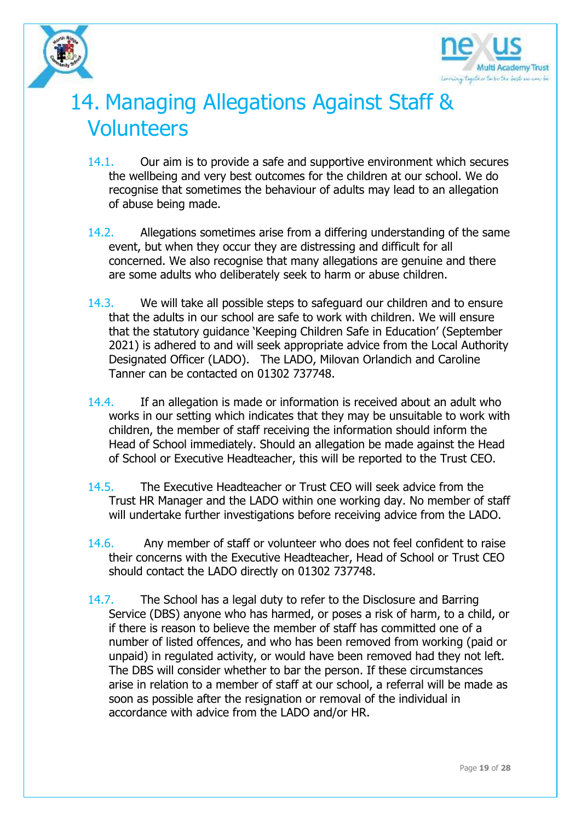



# 14. Managing Allegations Against Staff & Volunteers

- 14.1. Our aim is to provide a safe and supportive environment which secures the wellbeing and very best outcomes for the children at our school. We do recognise that sometimes the behaviour of adults may lead to an allegation of abuse being made.
- 14.2. Allegations sometimes arise from a differing understanding of the same event, but when they occur they are distressing and difficult for all concerned. We also recognise that many allegations are genuine and there are some adults who deliberately seek to harm or abuse children.
- 14.3. We will take all possible steps to safeguard our children and to ensure that the adults in our school are safe to work with children. We will ensure that the statutory guidance 'Keeping Children Safe in Education' (September 2021) is adhered to and will seek appropriate advice from the Local Authority Designated Officer (LADO). The LADO, Milovan Orlandich and Caroline Tanner can be contacted on 01302 737748.
- 14.4. If an allegation is made or information is received about an adult who works in our setting which indicates that they may be unsuitable to work with children, the member of staff receiving the information should inform the Head of School immediately. Should an allegation be made against the Head of School or Executive Headteacher, this will be reported to the Trust CEO.
- 14.5. The Executive Headteacher or Trust CEO will seek advice from the Trust HR Manager and the LADO within one working day. No member of staff will undertake further investigations before receiving advice from the LADO.
- 14.6. Any member of staff or volunteer who does not feel confident to raise their concerns with the Executive Headteacher, Head of School or Trust CEO should contact the LADO directly on 01302 737748.
- 14.7. The School has a legal duty to refer to the Disclosure and Barring Service (DBS) anyone who has harmed, or poses a risk of harm, to a child, or if there is reason to believe the member of staff has committed one of a number of listed offences, and who has been removed from working (paid or unpaid) in regulated activity, or would have been removed had they not left. The DBS will consider whether to bar the person. If these circumstances arise in relation to a member of staff at our school, a referral will be made as soon as possible after the resignation or removal of the individual in accordance with advice from the LADO and/or HR.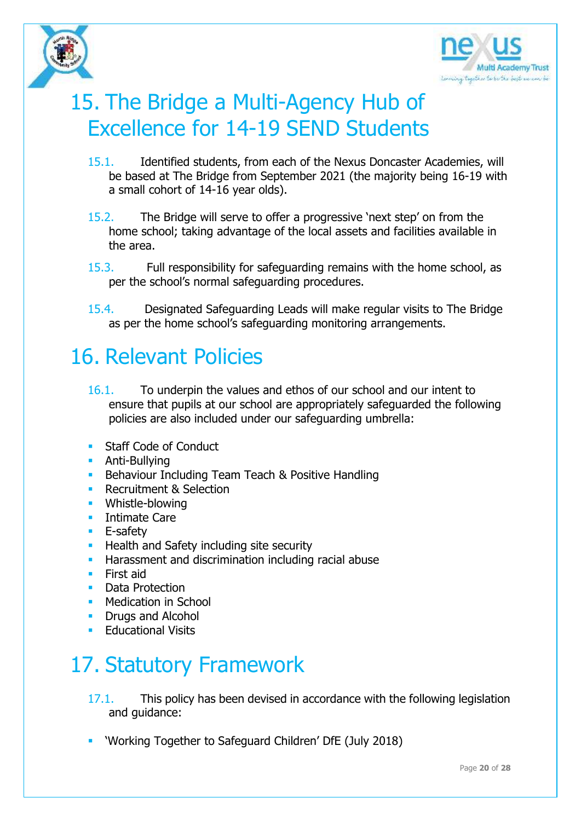



# 15. The Bridge a Multi-Agency Hub of Excellence for 14-19 SEND Students

- 15.1. Identified students, from each of the Nexus Doncaster Academies, will be based at The Bridge from September 2021 (the majority being 16-19 with a small cohort of 14-16 year olds).
- 15.2. The Bridge will serve to offer a progressive 'next step' on from the home school; taking advantage of the local assets and facilities available in the area.
- 15.3. Full responsibility for safeguarding remains with the home school, as per the school's normal safeguarding procedures.
- 15.4. Designated Safeguarding Leads will make regular visits to The Bridge as per the home school's safeguarding monitoring arrangements.

# 16. Relevant Policies

- 16.1. To underpin the values and ethos of our school and our intent to ensure that pupils at our school are appropriately safeguarded the following policies are also included under our safeguarding umbrella:
- **Staff Code of Conduct**
- Anti-Bullying
- Behaviour Including Team Teach & Positive Handling
- **Recruitment & Selection**
- **•** Whistle-blowing
- **Intimate Care**
- **E**-safety
- **Health and Safety including site security**
- **Harassment and discrimination including racial abuse**
- **First aid**
- **-** Data Protection
- Medication in School
- **•** Drugs and Alcohol
- Educational Visits

# 17. Statutory Framework

- 17.1. This policy has been devised in accordance with the following legislation and guidance:
- 'Working Together to Safeguard Children' DfE (July 2018)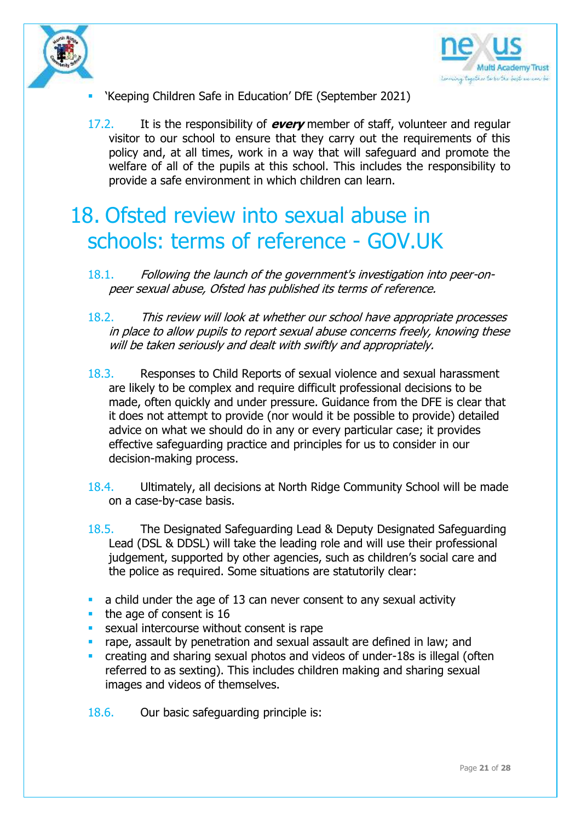



- 'Keeping Children Safe in Education' DfE (September 2021)
- 17.2. It is the responsibility of **every** member of staff, volunteer and regular visitor to our school to ensure that they carry out the requirements of this policy and, at all times, work in a way that will safeguard and promote the welfare of all of the pupils at this school. This includes the responsibility to provide a safe environment in which children can learn.

## 18. Ofsted review into sexual abuse in schools: terms of reference - GOV.UK

- 18.1. Following the launch of the government's investigation into peer-onpeer sexual abuse, Ofsted has published its terms of reference.
- 18.2. This review will look at whether our school have appropriate processes in place to allow pupils to report sexual abuse concerns freely, knowing these will be taken seriously and dealt with swiftly and appropriately.
- 18.3. Responses to Child Reports of sexual violence and sexual harassment are likely to be complex and require difficult professional decisions to be made, often quickly and under pressure. Guidance from the DFE is clear that it does not attempt to provide (nor would it be possible to provide) detailed advice on what we should do in any or every particular case; it provides effective safeguarding practice and principles for us to consider in our decision-making process.
- 18.4. Ultimately, all decisions at North Ridge Community School will be made on a case-by-case basis.
- 18.5. The Designated Safeguarding Lead & Deputy Designated Safeguarding Lead (DSL & DDSL) will take the leading role and will use their professional judgement, supported by other agencies, such as children's social care and the police as required. Some situations are statutorily clear:
- a child under the age of 13 can never consent to any sexual activity
- the age of consent is 16
- **sexual intercourse without consent is rape**
- **F** rape, assault by penetration and sexual assault are defined in law; and
- creating and sharing sexual photos and videos of under-18s is illegal (often referred to as sexting). This includes children making and sharing sexual images and videos of themselves.

18.6. Our basic safeguarding principle is: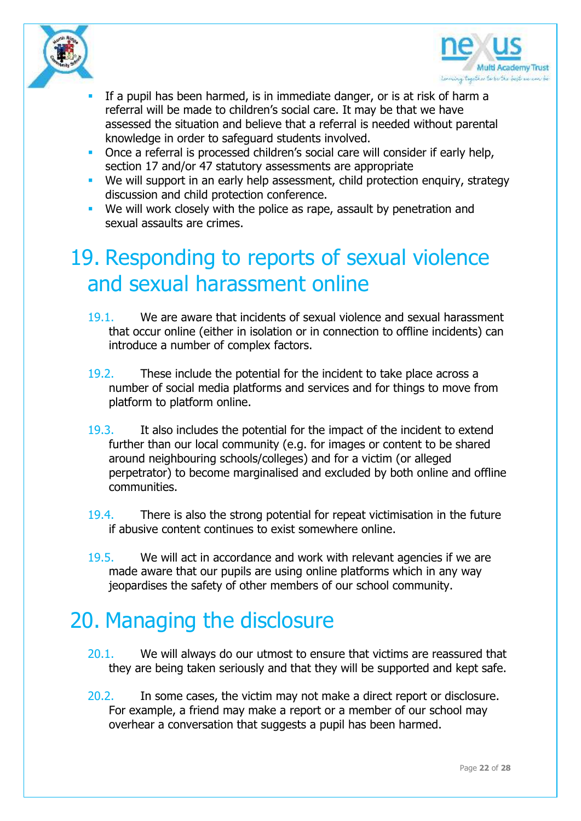



- If a pupil has been harmed, is in immediate danger, or is at risk of harm a referral will be made to children's social care. It may be that we have assessed the situation and believe that a referral is needed without parental knowledge in order to safeguard students involved.
- Once a referral is processed children's social care will consider if early help, section 17 and/or 47 statutory assessments are appropriate
- We will support in an early help assessment, child protection enquiry, strategy discussion and child protection conference.
- We will work closely with the police as rape, assault by penetration and sexual assaults are crimes.

## 19. Responding to reports of sexual violence and sexual harassment online

- 19.1. We are aware that incidents of sexual violence and sexual harassment that occur online (either in isolation or in connection to offline incidents) can introduce a number of complex factors.
- 19.2. These include the potential for the incident to take place across a number of social media platforms and services and for things to move from platform to platform online.
- 19.3. It also includes the potential for the impact of the incident to extend further than our local community (e.g. for images or content to be shared around neighbouring schools/colleges) and for a victim (or alleged perpetrator) to become marginalised and excluded by both online and offline communities.
- 19.4. There is also the strong potential for repeat victimisation in the future if abusive content continues to exist somewhere online.
- 19.5. We will act in accordance and work with relevant agencies if we are made aware that our pupils are using online platforms which in any way jeopardises the safety of other members of our school community.

# 20. Managing the disclosure

- 20.1. We will always do our utmost to ensure that victims are reassured that they are being taken seriously and that they will be supported and kept safe.
- 20.2. In some cases, the victim may not make a direct report or disclosure. For example, a friend may make a report or a member of our school may overhear a conversation that suggests a pupil has been harmed.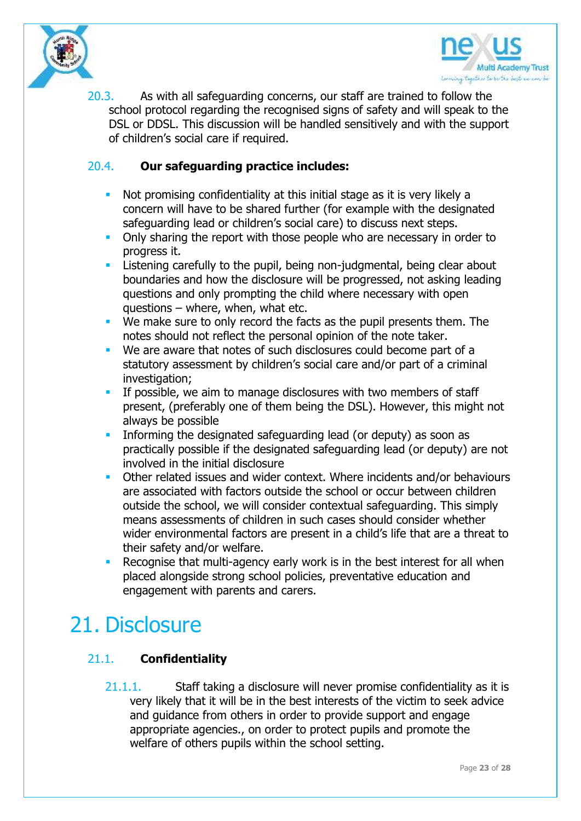



20.3. As with all safeguarding concerns, our staff are trained to follow the school protocol regarding the recognised signs of safety and will speak to the DSL or DDSL. This discussion will be handled sensitively and with the support of children's social care if required.

#### 20.4. **Our safeguarding practice includes:**

- Not promising confidentiality at this initial stage as it is very likely a concern will have to be shared further (for example with the designated safeguarding lead or children's social care) to discuss next steps.
- Only sharing the report with those people who are necessary in order to progress it.
- **EXTED Listening carefully to the pupil, being non-judgmental, being clear about** boundaries and how the disclosure will be progressed, not asking leading questions and only prompting the child where necessary with open questions – where, when, what etc.
- **We make sure to only record the facts as the pupil presents them. The** notes should not reflect the personal opinion of the note taker.
- We are aware that notes of such disclosures could become part of a statutory assessment by children's social care and/or part of a criminal investigation;
- If possible, we aim to manage disclosures with two members of staff present, (preferably one of them being the DSL). However, this might not always be possible
- Informing the designated safeguarding lead (or deputy) as soon as practically possible if the designated safeguarding lead (or deputy) are not involved in the initial disclosure
- Other related issues and wider context. Where incidents and/or behaviours are associated with factors outside the school or occur between children outside the school, we will consider contextual safeguarding. This simply means assessments of children in such cases should consider whether wider environmental factors are present in a child's life that are a threat to their safety and/or welfare.
- Recognise that multi-agency early work is in the best interest for all when placed alongside strong school policies, preventative education and engagement with parents and carers.

## 21. Disclosure

### 21.1. **Confidentiality**

21.1.1. Staff taking a disclosure will never promise confidentiality as it is very likely that it will be in the best interests of the victim to seek advice and guidance from others in order to provide support and engage appropriate agencies., on order to protect pupils and promote the welfare of others pupils within the school setting.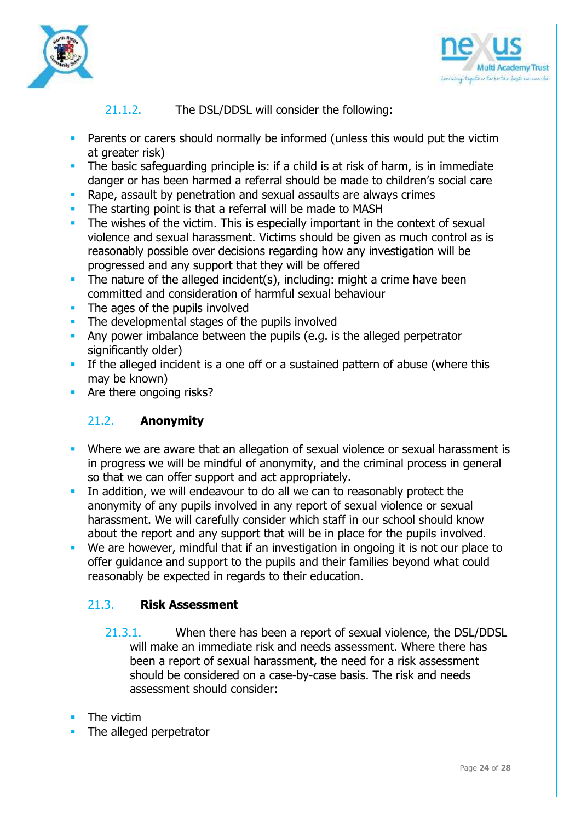



### 21.1.2. The DSL/DDSL will consider the following:

- Parents or carers should normally be informed (unless this would put the victim at greater risk)
- The basic safeguarding principle is: if a child is at risk of harm, is in immediate danger or has been harmed a referral should be made to children's social care
- Rape, assault by penetration and sexual assaults are always crimes
- The starting point is that a referral will be made to MASH
- The wishes of the victim. This is especially important in the context of sexual violence and sexual harassment. Victims should be given as much control as is reasonably possible over decisions regarding how any investigation will be progressed and any support that they will be offered
- The nature of the alleged incident(s), including: might a crime have been committed and consideration of harmful sexual behaviour
- The ages of the pupils involved
- The developmental stages of the pupils involved
- Any power imbalance between the pupils (e.g. is the alleged perpetrator significantly older)
- **If the alleged incident is a one off or a sustained pattern of abuse (where this** may be known)
- **Are there ongoing risks?**

### 21.2. **Anonymity**

- **Where we are aware that an allegation of sexual violence or sexual harassment is** in progress we will be mindful of anonymity, and the criminal process in general so that we can offer support and act appropriately.
- In addition, we will endeavour to do all we can to reasonably protect the anonymity of any pupils involved in any report of sexual violence or sexual harassment. We will carefully consider which staff in our school should know about the report and any support that will be in place for the pupils involved.
- We are however, mindful that if an investigation in ongoing it is not our place to offer guidance and support to the pupils and their families beyond what could reasonably be expected in regards to their education.

### 21.3. **Risk Assessment**

- 21.3.1. When there has been a report of sexual violence, the DSL/DDSL will make an immediate risk and needs assessment. Where there has been a report of sexual harassment, the need for a risk assessment should be considered on a case-by-case basis. The risk and needs assessment should consider:
- The victim
- The alleged perpetrator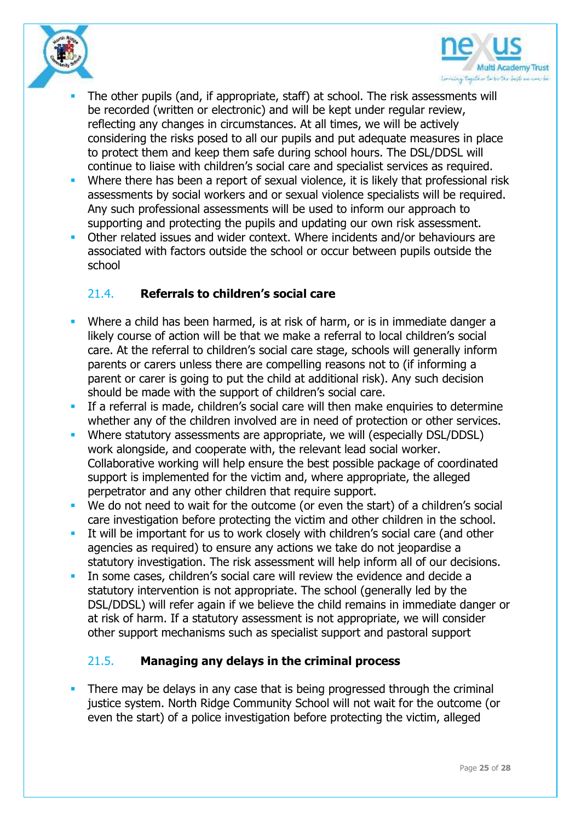



- The other pupils (and, if appropriate, staff) at school. The risk assessments will be recorded (written or electronic) and will be kept under regular review, reflecting any changes in circumstances. At all times, we will be actively considering the risks posed to all our pupils and put adequate measures in place to protect them and keep them safe during school hours. The DSL/DDSL will continue to liaise with children's social care and specialist services as required.
- **Where there has been a report of sexual violence, it is likely that professional risk** assessments by social workers and or sexual violence specialists will be required. Any such professional assessments will be used to inform our approach to supporting and protecting the pupils and updating our own risk assessment.
- Other related issues and wider context. Where incidents and/or behaviours are associated with factors outside the school or occur between pupils outside the school

### 21.4. **Referrals to children's social care**

- Where a child has been harmed, is at risk of harm, or is in immediate danger a likely course of action will be that we make a referral to local children's social care. At the referral to children's social care stage, schools will generally inform parents or carers unless there are compelling reasons not to (if informing a parent or carer is going to put the child at additional risk). Any such decision should be made with the support of children's social care.
- If a referral is made, children's social care will then make enquiries to determine whether any of the children involved are in need of protection or other services.
- Where statutory assessments are appropriate, we will (especially DSL/DDSL) work alongside, and cooperate with, the relevant lead social worker. Collaborative working will help ensure the best possible package of coordinated support is implemented for the victim and, where appropriate, the alleged perpetrator and any other children that require support.
- We do not need to wait for the outcome (or even the start) of a children's social care investigation before protecting the victim and other children in the school.
- It will be important for us to work closely with children's social care (and other agencies as required) to ensure any actions we take do not jeopardise a statutory investigation. The risk assessment will help inform all of our decisions.
- In some cases, children's social care will review the evidence and decide a statutory intervention is not appropriate. The school (generally led by the DSL/DDSL) will refer again if we believe the child remains in immediate danger or at risk of harm. If a statutory assessment is not appropriate, we will consider other support mechanisms such as specialist support and pastoral support

### 21.5. **Managing any delays in the criminal process**

 There may be delays in any case that is being progressed through the criminal justice system. North Ridge Community School will not wait for the outcome (or even the start) of a police investigation before protecting the victim, alleged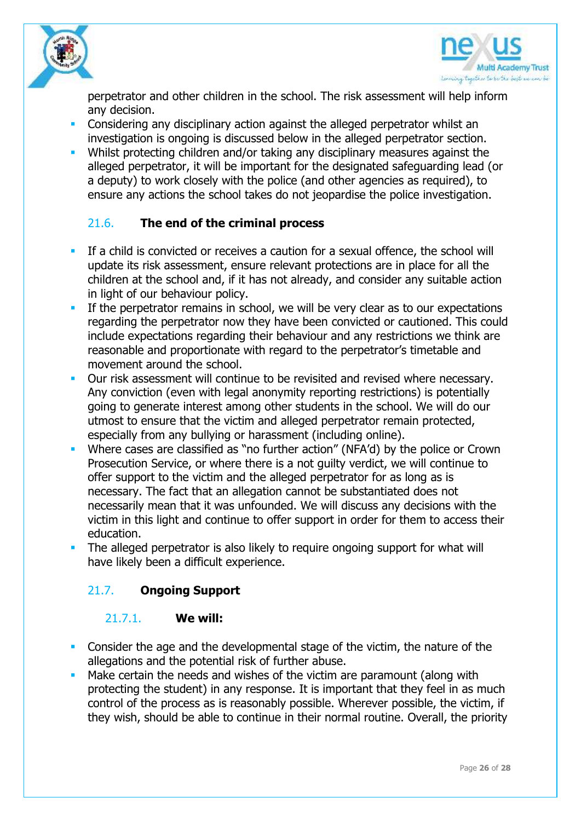



perpetrator and other children in the school. The risk assessment will help inform any decision.

- **Considering any disciplinary action against the alleged perpetrator whilst an** investigation is ongoing is discussed below in the alleged perpetrator section.
- Whilst protecting children and/or taking any disciplinary measures against the alleged perpetrator, it will be important for the designated safeguarding lead (or a deputy) to work closely with the police (and other agencies as required), to ensure any actions the school takes do not jeopardise the police investigation.

### 21.6. **The end of the criminal process**

- If a child is convicted or receives a caution for a sexual offence, the school will update its risk assessment, ensure relevant protections are in place for all the children at the school and, if it has not already, and consider any suitable action in light of our behaviour policy.
- If the perpetrator remains in school, we will be very clear as to our expectations regarding the perpetrator now they have been convicted or cautioned. This could include expectations regarding their behaviour and any restrictions we think are reasonable and proportionate with regard to the perpetrator's timetable and movement around the school.
- Our risk assessment will continue to be revisited and revised where necessary. Any conviction (even with legal anonymity reporting restrictions) is potentially going to generate interest among other students in the school. We will do our utmost to ensure that the victim and alleged perpetrator remain protected, especially from any bullying or harassment (including online).
- Where cases are classified as "no further action" (NFA'd) by the police or Crown Prosecution Service, or where there is a not guilty verdict, we will continue to offer support to the victim and the alleged perpetrator for as long as is necessary. The fact that an allegation cannot be substantiated does not necessarily mean that it was unfounded. We will discuss any decisions with the victim in this light and continue to offer support in order for them to access their education.
- The alleged perpetrator is also likely to require ongoing support for what will have likely been a difficult experience.

### 21.7. **Ongoing Support**

#### 21.7.1. **We will:**

- **Consider the age and the developmental stage of the victim, the nature of the** allegations and the potential risk of further abuse.
- Make certain the needs and wishes of the victim are paramount (along with protecting the student) in any response. It is important that they feel in as much control of the process as is reasonably possible. Wherever possible, the victim, if they wish, should be able to continue in their normal routine. Overall, the priority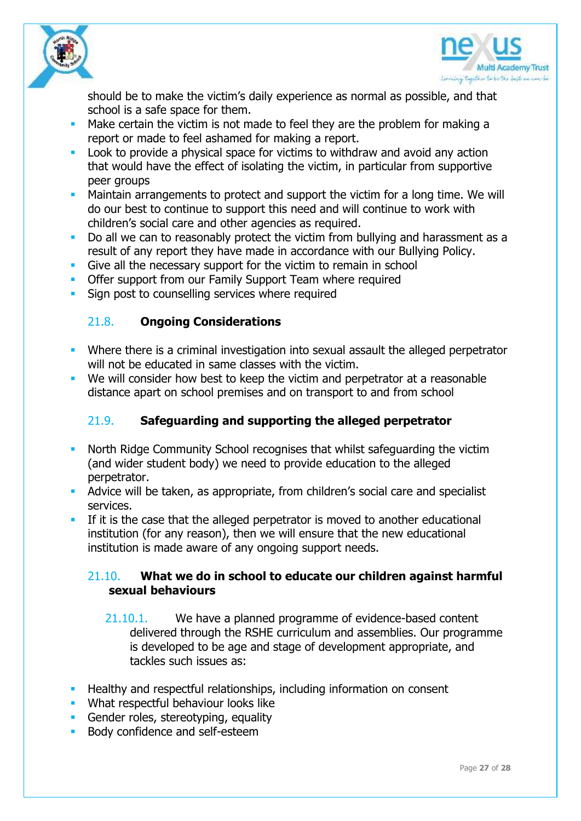



should be to make the victim's daily experience as normal as possible, and that school is a safe space for them.

- Make certain the victim is not made to feel they are the problem for making a report or made to feel ashamed for making a report.
- **Look to provide a physical space for victims to withdraw and avoid any action** that would have the effect of isolating the victim, in particular from supportive peer groups
- Maintain arrangements to protect and support the victim for a long time. We will do our best to continue to support this need and will continue to work with children's social care and other agencies as required.
- Do all we can to reasonably protect the victim from bullying and harassment as a result of any report they have made in accordance with our Bullying Policy.
- Give all the necessary support for the victim to remain in school
- **Offer support from our Family Support Team where required**
- Sign post to counselling services where required

### 21.8. **Ongoing Considerations**

- Where there is a criminal investigation into sexual assault the alleged perpetrator will not be educated in same classes with the victim.
- We will consider how best to keep the victim and perpetrator at a reasonable distance apart on school premises and on transport to and from school

### 21.9. **Safeguarding and supporting the alleged perpetrator**

- North Ridge Community School recognises that whilst safeguarding the victim (and wider student body) we need to provide education to the alleged perpetrator.
- Advice will be taken, as appropriate, from children's social care and specialist services.
- If it is the case that the alleged perpetrator is moved to another educational institution (for any reason), then we will ensure that the new educational institution is made aware of any ongoing support needs.

### 21.10. **What we do in school to educate our children against harmful sexual behaviours**

- 21.10.1. We have a planned programme of evidence-based content delivered through the RSHE curriculum and assemblies. Our programme is developed to be age and stage of development appropriate, and tackles such issues as:
- **Healthy and respectful relationships, including information on consent**
- **What respectful behaviour looks like**
- Gender roles, stereotyping, equality
- **Body confidence and self-esteem**